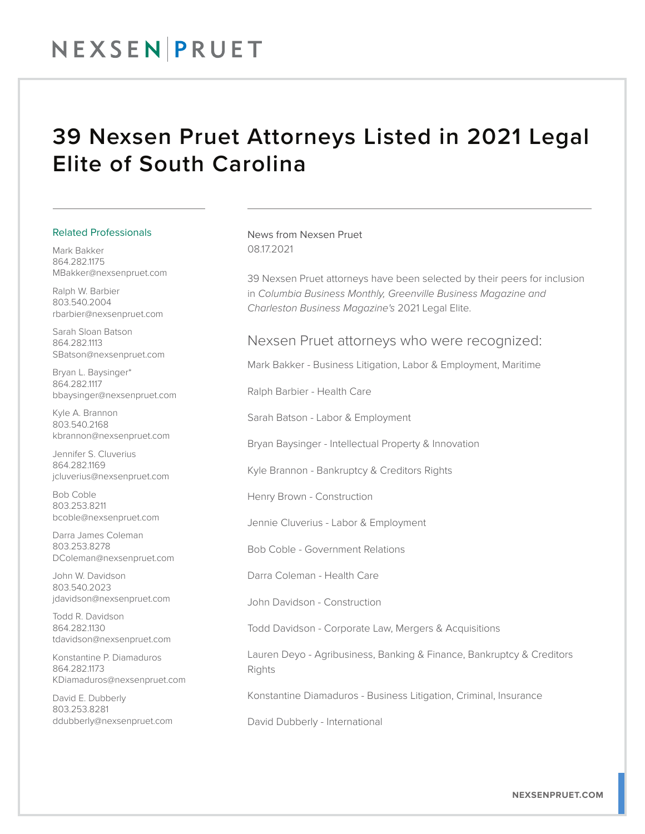## NEXSEN PRUET

### 39 Nexsen Pruet Attorneys Listed in 2021 Legal Elite of South Carolina

#### Related Professionals

Mark Bakker 864.282.1175 MBakker@nexsenpruet.com

Ralph W. Barbier 803.540.2004 rbarbier@nexsenpruet.com

Sarah Sloan Batson 864.282.1113 SBatson@nexsenpruet.com

Bryan L. Baysinger\* 864.282.1117 bbaysinger@nexsenpruet.com

Kyle A. Brannon 803.540.2168 kbrannon@nexsenpruet.com

Jennifer S. Cluverius 864.282.1169 jcluverius@nexsenpruet.com

Bob Coble 803.253.8211 bcoble@nexsenpruet.com

Darra James Coleman 803.253.8278 DColeman@nexsenpruet.com

John W. Davidson 803.540.2023 jdavidson@nexsenpruet.com

Todd R. Davidson 864.282.1130 tdavidson@nexsenpruet.com

Konstantine P. Diamaduros 864.282.1173 KDiamaduros@nexsenpruet.com

David E. Dubberly 803.253.8281 ddubberly@nexsenpruet.com News from Nexsen Pruet 08.17.2021

39 Nexsen Pruet attorneys have been selected by their peers for inclusion in *Columbia Business Monthly, Greenville Business Magazine and Charleston Business Magazine's* 2021 Legal Elite.

#### Nexsen Pruet attorneys who were recognized:

Mark Bakker - Business Litigation, Labor & Employment, Maritime

Ralph Barbier - Health Care

Sarah Batson - Labor & Employment

Bryan Baysinger - Intellectual Property & Innovation

Kyle Brannon - Bankruptcy & Creditors Rights

Henry Brown - Construction

Jennie Cluverius - Labor & Employment

Bob Coble - Government Relations

Darra Coleman - Health Care

John Davidson - Construction

Todd Davidson - Corporate Law, Mergers & Acquisitions

Lauren Deyo - Agribusiness, Banking & Finance, Bankruptcy & Creditors **Rights** 

Konstantine Diamaduros - Business Litigation, Criminal, Insurance

David Dubberly - International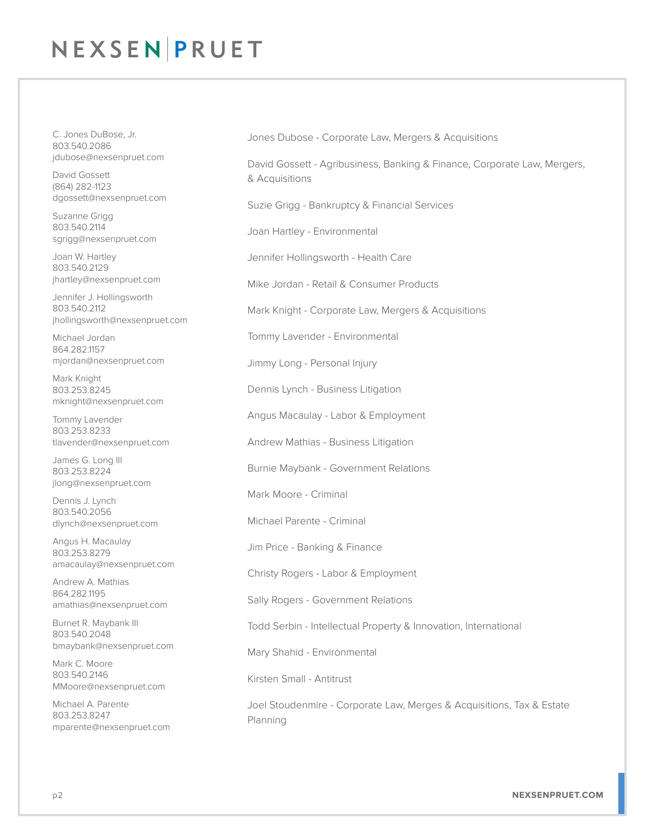# NEXSEN PRUET

C. Jones DuBose, Jr. 803.540.2086 jdubose@nexsenpruet.com

David Gossett (864) 282-1123 dgossett@nexsenpruet.com

Suzanne Grigg 803.540.2114 sgrigg@nexsenpruet.com

Joan W. Hartley 803.540.2129 jhartley@nexsenpruet.com

Jennifer J. Hollingsworth 803.540.2112 jhollingsworth@nexsenpruet.com

Michael Jordan 864.282.1157 mjordan@nexsenpruet.com

Mark Knight 803.253.8245 mknight@nexsenpruet.com

Tommy Lavender 803.253.8233 tlavender@nexsenpruet.com

James G. Long III 803.253.8224 jlong@nexsenpruet.com

Dennis J. Lynch 803.540.2056 dlynch@nexsenpruet.com

Angus H. Macaulay 803.253.8279 amacaulay@nexsenpruet.com

Andrew A. Mathias 864.282.1195 amathias@nexsenpruet.com

Burnet R. Maybank III 803.540.2048 bmaybank@nexsenpruet.com

Mark C. Moore 803.540.2146 MMoore@nexsenpruet.com

Michael A. Parente 803.253.8247 mparente@nexsenpruet.com Jones Dubose - Corporate Law, Mergers & Acquisitions

David Gossett - Agribusiness, Banking & Finance, Corporate Law, Mergers, & Acquisitions

Suzie Grigg - Bankruptcy & Financial Services

Joan Hartley - Environmental

Jennifer Hollingsworth - Health Care

Mike Jordan - Retail & Consumer Products

Mark Knight - Corporate Law, Mergers & Acquisitions

Tommy Lavender - Environmental

Jimmy Long - Personal Injury

Dennis Lynch - Business Litigation

Angus Macaulay - Labor & Employment

Andrew Mathias - Business Litigation

Burnie Maybank - Government Relations

Mark Moore - Criminal

Michael Parente - Criminal

Jim Price - Banking & Finance

Christy Rogers - Labor & Employment

Sally Rogers - Government Relations

Todd Serbin - Intellectual Property & Innovation, International

Mary Shahid - Environmental

Kirsten Small - Antitrust

Joel Stoudenmire - Corporate Law, Merges & Acquisitions, Tax & Estate Planning